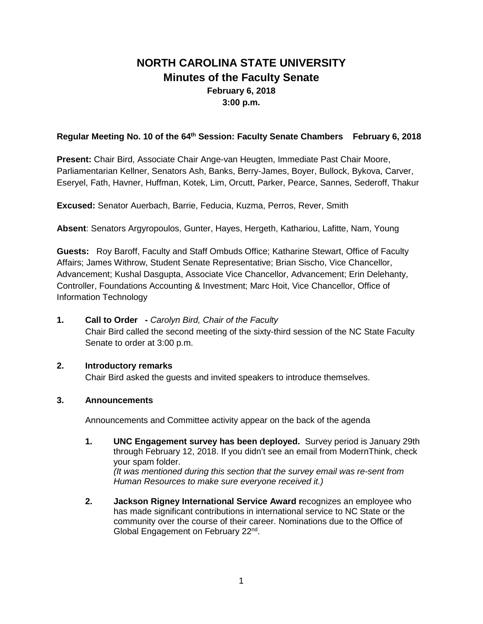# **NORTH CAROLINA STATE UNIVERSITY Minutes of the Faculty Senate February 6, 2018 3:00 p.m.**

## **Regular Meeting No. 10 of the 64th Session: Faculty Senate Chambers February 6, 2018**

**Present:** Chair Bird, Associate Chair Ange-van Heugten, Immediate Past Chair Moore, Parliamentarian Kellner, Senators Ash, Banks, Berry-James, Boyer, Bullock, Bykova, Carver, Eseryel, Fath, Havner, Huffman, Kotek, Lim, Orcutt, Parker, Pearce, Sannes, Sederoff, Thakur

**Excused:** Senator Auerbach, Barrie, Feducia, Kuzma, Perros, Rever, Smith

**Absent**: Senators Argyropoulos, Gunter, Hayes, Hergeth, Kathariou, Lafitte, Nam, Young

**Guests:** Roy Baroff, Faculty and Staff Ombuds Office; Katharine Stewart, Office of Faculty Affairs; James Withrow, Student Senate Representative; Brian Sischo, Vice Chancellor, Advancement; Kushal Dasgupta, Associate Vice Chancellor, Advancement; Erin Delehanty, Controller, Foundations Accounting & Investment; Marc Hoit, Vice Chancellor, Office of Information Technology

**1. Call to Order -** *Carolyn Bird, Chair of the Faculty* Chair Bird called the second meeting of the sixty-third session of the NC State Faculty Senate to order at 3:00 p.m.

## **2. Introductory remarks**

Chair Bird asked the guests and invited speakers to introduce themselves.

## **3. Announcements**

Announcements and Committee activity appear on the back of the agenda

- **1. UNC Engagement survey has been deployed.** Survey period is January 29th through February 12, 2018. If you didn't see an email from ModernThink, check your spam folder. *(It was mentioned during this section that the survey email was re-sent from Human Resources to make sure everyone received it.)*
- **2. Jackson Rigney International Service Award r**ecognizes an employee who has made significant contributions in international service to NC State or the community over the course of their career. Nominations due to the Office of Global Engagement on February 22<sup>nd</sup>.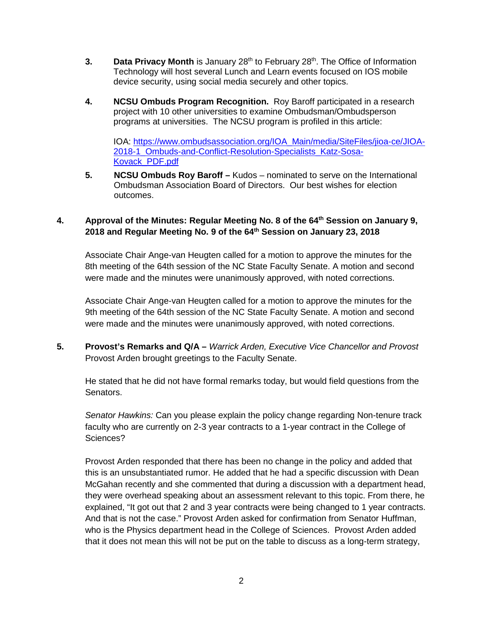- **3. Data Privacy Month** is January 28<sup>th</sup> to February 28<sup>th</sup>. The Office of Information Technology will host several Lunch and Learn events focused on IOS mobile device security, using social media securely and other topics.
- **4. NCSU Ombuds Program Recognition.** Roy Baroff participated in a research project with 10 other universities to examine Ombudsman/Ombudsperson programs at universities. The NCSU program is profiled in this article:

IOA: [https://www.ombudsassociation.org/IOA\\_Main/media/SiteFiles/jioa-ce/JIOA-](https://www.ombudsassociation.org/IOA_Main/media/SiteFiles/jioa-ce/JIOA-2018-1_Ombuds-and-Conflict-Resolution-Specialists_Katz-Sosa-Kovack_PDF.pdf)[2018-1\\_Ombuds-and-Conflict-Resolution-Specialists\\_Katz-Sosa-](https://www.ombudsassociation.org/IOA_Main/media/SiteFiles/jioa-ce/JIOA-2018-1_Ombuds-and-Conflict-Resolution-Specialists_Katz-Sosa-Kovack_PDF.pdf)[Kovack\\_PDF.pdf](https://www.ombudsassociation.org/IOA_Main/media/SiteFiles/jioa-ce/JIOA-2018-1_Ombuds-and-Conflict-Resolution-Specialists_Katz-Sosa-Kovack_PDF.pdf)

**5. NCSU Ombuds Roy Baroff –** Kudos – nominated to serve on the International Ombudsman Association Board of Directors. Our best wishes for election outcomes.

# **4. Approval of the Minutes: Regular Meeting No. 8 of the 64th Session on January 9, 2018 and Regular Meeting No. 9 of the 64th Session on January 23, 2018**

Associate Chair Ange-van Heugten called for a motion to approve the minutes for the 8th meeting of the 64th session of the NC State Faculty Senate. A motion and second were made and the minutes were unanimously approved, with noted corrections.

Associate Chair Ange-van Heugten called for a motion to approve the minutes for the 9th meeting of the 64th session of the NC State Faculty Senate. A motion and second were made and the minutes were unanimously approved, with noted corrections.

**5. Provost's Remarks and Q/A –** *Warrick Arden, Executive Vice Chancellor and Provost* Provost Arden brought greetings to the Faculty Senate.

He stated that he did not have formal remarks today, but would field questions from the Senators.

*Senator Hawkins:* Can you please explain the policy change regarding Non-tenure track faculty who are currently on 2-3 year contracts to a 1-year contract in the College of Sciences?

Provost Arden responded that there has been no change in the policy and added that this is an unsubstantiated rumor. He added that he had a specific discussion with Dean McGahan recently and she commented that during a discussion with a department head, they were overhead speaking about an assessment relevant to this topic. From there, he explained, "It got out that 2 and 3 year contracts were being changed to 1 year contracts. And that is not the case." Provost Arden asked for confirmation from Senator Huffman, who is the Physics department head in the College of Sciences. Provost Arden added that it does not mean this will not be put on the table to discuss as a long-term strategy,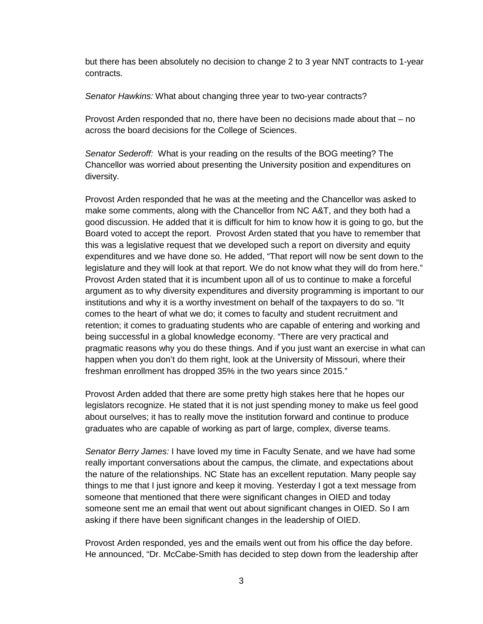but there has been absolutely no decision to change 2 to 3 year NNT contracts to 1-year contracts.

*Senator Hawkins:* What about changing three year to two-year contracts?

Provost Arden responded that no, there have been no decisions made about that – no across the board decisions for the College of Sciences.

*Senator Sederoff:* What is your reading on the results of the BOG meeting? The Chancellor was worried about presenting the University position and expenditures on diversity.

Provost Arden responded that he was at the meeting and the Chancellor was asked to make some comments, along with the Chancellor from NC A&T, and they both had a good discussion. He added that it is difficult for him to know how it is going to go, but the Board voted to accept the report. Provost Arden stated that you have to remember that this was a legislative request that we developed such a report on diversity and equity expenditures and we have done so. He added, "That report will now be sent down to the legislature and they will look at that report. We do not know what they will do from here." Provost Arden stated that it is incumbent upon all of us to continue to make a forceful argument as to why diversity expenditures and diversity programming is important to our institutions and why it is a worthy investment on behalf of the taxpayers to do so. "It comes to the heart of what we do; it comes to faculty and student recruitment and retention; it comes to graduating students who are capable of entering and working and being successful in a global knowledge economy. "There are very practical and pragmatic reasons why you do these things. And if you just want an exercise in what can happen when you don't do them right, look at the University of Missouri, where their freshman enrollment has dropped 35% in the two years since 2015."

Provost Arden added that there are some pretty high stakes here that he hopes our legislators recognize. He stated that it is not just spending money to make us feel good about ourselves; it has to really move the institution forward and continue to produce graduates who are capable of working as part of large, complex, diverse teams.

*Senator Berry James:* I have loved my time in Faculty Senate, and we have had some really important conversations about the campus, the climate, and expectations about the nature of the relationships. NC State has an excellent reputation. Many people say things to me that I just ignore and keep it moving. Yesterday I got a text message from someone that mentioned that there were significant changes in OIED and today someone sent me an email that went out about significant changes in OIED. So I am asking if there have been significant changes in the leadership of OIED.

Provost Arden responded, yes and the emails went out from his office the day before. He announced, "Dr. McCabe-Smith has decided to step down from the leadership after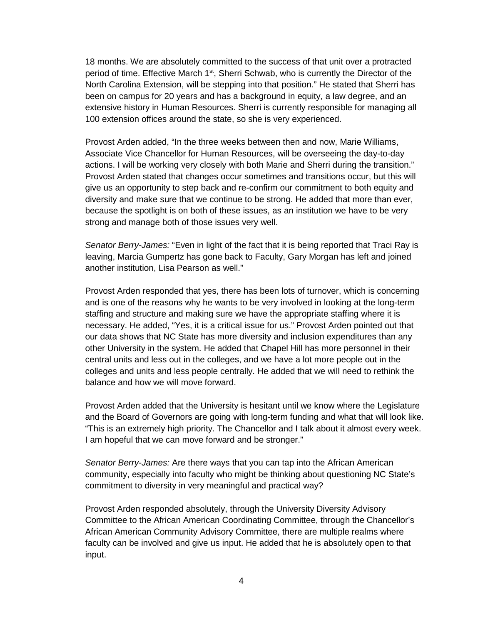18 months. We are absolutely committed to the success of that unit over a protracted period of time. Effective March 1<sup>st</sup>, Sherri Schwab, who is currently the Director of the North Carolina Extension, will be stepping into that position." He stated that Sherri has been on campus for 20 years and has a background in equity, a law degree, and an extensive history in Human Resources. Sherri is currently responsible for managing all 100 extension offices around the state, so she is very experienced.

Provost Arden added, "In the three weeks between then and now, Marie Williams, Associate Vice Chancellor for Human Resources, will be overseeing the day-to-day actions. I will be working very closely with both Marie and Sherri during the transition." Provost Arden stated that changes occur sometimes and transitions occur, but this will give us an opportunity to step back and re-confirm our commitment to both equity and diversity and make sure that we continue to be strong. He added that more than ever, because the spotlight is on both of these issues, as an institution we have to be very strong and manage both of those issues very well.

*Senator Berry-James:* "Even in light of the fact that it is being reported that Traci Ray is leaving, Marcia Gumpertz has gone back to Faculty, Gary Morgan has left and joined another institution, Lisa Pearson as well."

Provost Arden responded that yes, there has been lots of turnover, which is concerning and is one of the reasons why he wants to be very involved in looking at the long-term staffing and structure and making sure we have the appropriate staffing where it is necessary. He added, "Yes, it is a critical issue for us." Provost Arden pointed out that our data shows that NC State has more diversity and inclusion expenditures than any other University in the system. He added that Chapel Hill has more personnel in their central units and less out in the colleges, and we have a lot more people out in the colleges and units and less people centrally. He added that we will need to rethink the balance and how we will move forward.

Provost Arden added that the University is hesitant until we know where the Legislature and the Board of Governors are going with long-term funding and what that will look like. "This is an extremely high priority. The Chancellor and I talk about it almost every week. I am hopeful that we can move forward and be stronger."

*Senator Berry-James:* Are there ways that you can tap into the African American community, especially into faculty who might be thinking about questioning NC State's commitment to diversity in very meaningful and practical way?

Provost Arden responded absolutely, through the University Diversity Advisory Committee to the African American Coordinating Committee, through the Chancellor's African American Community Advisory Committee, there are multiple realms where faculty can be involved and give us input. He added that he is absolutely open to that input.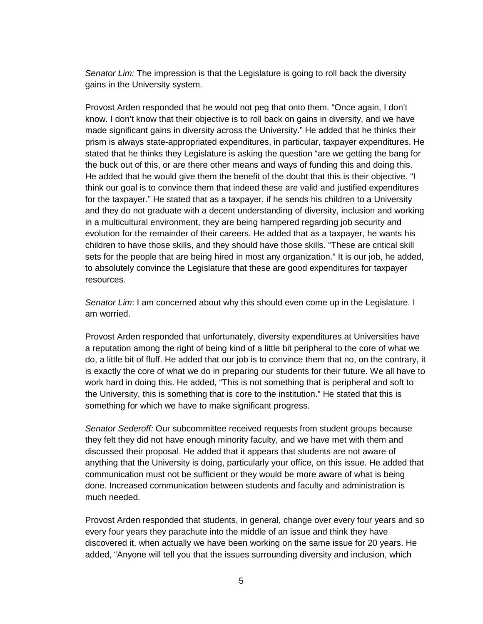*Senator Lim:* The impression is that the Legislature is going to roll back the diversity gains in the University system.

Provost Arden responded that he would not peg that onto them. "Once again, I don't know. I don't know that their objective is to roll back on gains in diversity, and we have made significant gains in diversity across the University." He added that he thinks their prism is always state-appropriated expenditures, in particular, taxpayer expenditures. He stated that he thinks they Legislature is asking the question "are we getting the bang for the buck out of this, or are there other means and ways of funding this and doing this. He added that he would give them the benefit of the doubt that this is their objective. "I think our goal is to convince them that indeed these are valid and justified expenditures for the taxpayer." He stated that as a taxpayer, if he sends his children to a University and they do not graduate with a decent understanding of diversity, inclusion and working in a multicultural environment, they are being hampered regarding job security and evolution for the remainder of their careers. He added that as a taxpayer, he wants his children to have those skills, and they should have those skills. "These are critical skill sets for the people that are being hired in most any organization." It is our job, he added, to absolutely convince the Legislature that these are good expenditures for taxpayer resources.

*Senator Lim*: I am concerned about why this should even come up in the Legislature. I am worried.

Provost Arden responded that unfortunately, diversity expenditures at Universities have a reputation among the right of being kind of a little bit peripheral to the core of what we do, a little bit of fluff. He added that our job is to convince them that no, on the contrary, it is exactly the core of what we do in preparing our students for their future. We all have to work hard in doing this. He added, "This is not something that is peripheral and soft to the University, this is something that is core to the institution." He stated that this is something for which we have to make significant progress.

*Senator Sederoff:* Our subcommittee received requests from student groups because they felt they did not have enough minority faculty, and we have met with them and discussed their proposal. He added that it appears that students are not aware of anything that the University is doing, particularly your office, on this issue. He added that communication must not be sufficient or they would be more aware of what is being done. Increased communication between students and faculty and administration is much needed.

Provost Arden responded that students, in general, change over every four years and so every four years they parachute into the middle of an issue and think they have discovered it, when actually we have been working on the same issue for 20 years. He added, "Anyone will tell you that the issues surrounding diversity and inclusion, which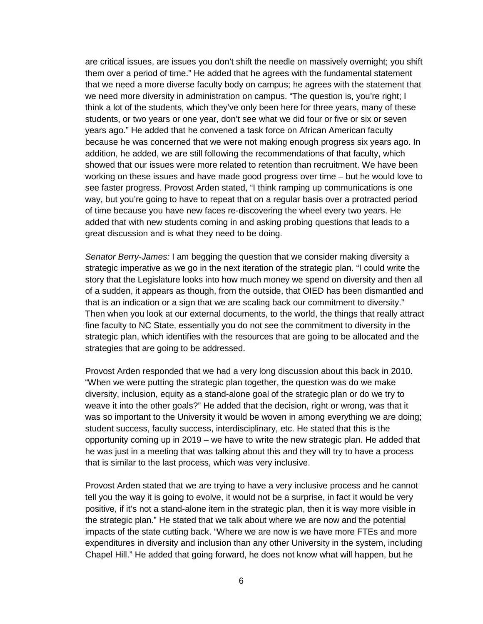are critical issues, are issues you don't shift the needle on massively overnight; you shift them over a period of time." He added that he agrees with the fundamental statement that we need a more diverse faculty body on campus; he agrees with the statement that we need more diversity in administration on campus. "The question is, you're right; I think a lot of the students, which they've only been here for three years, many of these students, or two years or one year, don't see what we did four or five or six or seven years ago." He added that he convened a task force on African American faculty because he was concerned that we were not making enough progress six years ago. In addition, he added, we are still following the recommendations of that faculty, which showed that our issues were more related to retention than recruitment. We have been working on these issues and have made good progress over time – but he would love to see faster progress. Provost Arden stated, "I think ramping up communications is one way, but you're going to have to repeat that on a regular basis over a protracted period of time because you have new faces re-discovering the wheel every two years. He added that with new students coming in and asking probing questions that leads to a great discussion and is what they need to be doing.

*Senator Berry-James:* I am begging the question that we consider making diversity a strategic imperative as we go in the next iteration of the strategic plan. "I could write the story that the Legislature looks into how much money we spend on diversity and then all of a sudden, it appears as though, from the outside, that OIED has been dismantled and that is an indication or a sign that we are scaling back our commitment to diversity." Then when you look at our external documents, to the world, the things that really attract fine faculty to NC State, essentially you do not see the commitment to diversity in the strategic plan, which identifies with the resources that are going to be allocated and the strategies that are going to be addressed.

Provost Arden responded that we had a very long discussion about this back in 2010. "When we were putting the strategic plan together, the question was do we make diversity, inclusion, equity as a stand-alone goal of the strategic plan or do we try to weave it into the other goals?" He added that the decision, right or wrong, was that it was so important to the University it would be woven in among everything we are doing; student success, faculty success, interdisciplinary, etc. He stated that this is the opportunity coming up in 2019 – we have to write the new strategic plan. He added that he was just in a meeting that was talking about this and they will try to have a process that is similar to the last process, which was very inclusive.

Provost Arden stated that we are trying to have a very inclusive process and he cannot tell you the way it is going to evolve, it would not be a surprise, in fact it would be very positive, if it's not a stand-alone item in the strategic plan, then it is way more visible in the strategic plan." He stated that we talk about where we are now and the potential impacts of the state cutting back. "Where we are now is we have more FTEs and more expenditures in diversity and inclusion than any other University in the system, including Chapel Hill." He added that going forward, he does not know what will happen, but he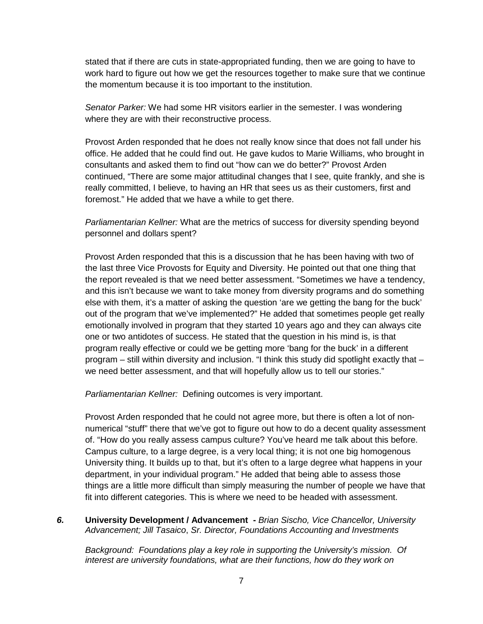stated that if there are cuts in state-appropriated funding, then we are going to have to work hard to figure out how we get the resources together to make sure that we continue the momentum because it is too important to the institution.

*Senator Parker:* We had some HR visitors earlier in the semester. I was wondering where they are with their reconstructive process.

Provost Arden responded that he does not really know since that does not fall under his office. He added that he could find out. He gave kudos to Marie Williams, who brought in consultants and asked them to find out "how can we do better?" Provost Arden continued, "There are some major attitudinal changes that I see, quite frankly, and she is really committed, I believe, to having an HR that sees us as their customers, first and foremost." He added that we have a while to get there.

*Parliamentarian Kellner:* What are the metrics of success for diversity spending beyond personnel and dollars spent?

Provost Arden responded that this is a discussion that he has been having with two of the last three Vice Provosts for Equity and Diversity. He pointed out that one thing that the report revealed is that we need better assessment. "Sometimes we have a tendency, and this isn't because we want to take money from diversity programs and do something else with them, it's a matter of asking the question 'are we getting the bang for the buck' out of the program that we've implemented?" He added that sometimes people get really emotionally involved in program that they started 10 years ago and they can always cite one or two antidotes of success. He stated that the question in his mind is, is that program really effective or could we be getting more 'bang for the buck' in a different program – still within diversity and inclusion. "I think this study did spotlight exactly that – we need better assessment, and that will hopefully allow us to tell our stories."

*Parliamentarian Kellner:* Defining outcomes is very important.

Provost Arden responded that he could not agree more, but there is often a lot of nonnumerical "stuff" there that we've got to figure out how to do a decent quality assessment of. "How do you really assess campus culture? You've heard me talk about this before. Campus culture, to a large degree, is a very local thing; it is not one big homogenous University thing. It builds up to that, but it's often to a large degree what happens in your department, in your individual program." He added that being able to assess those things are a little more difficult than simply measuring the number of people we have that fit into different categories. This is where we need to be headed with assessment.

*6.* **University Development / Advancement -** *Brian Sischo, Vice Chancellor, University Advancement; Jill Tasaico*, *Sr. Director, Foundations Accounting and Investments*

*Background: Foundations play a key role in supporting the University's mission. Of interest are university foundations, what are their functions, how do they work on*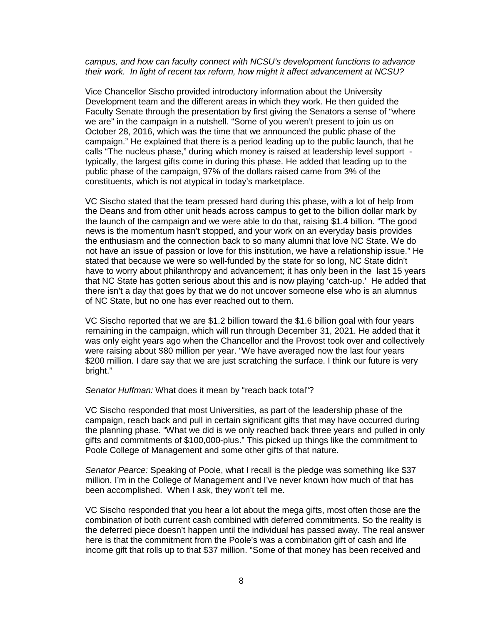#### *campus, and how can faculty connect with NCSU's development functions to advance their work. In light of recent tax reform, how might it affect advancement at NCSU?*

Vice Chancellor Sischo provided introductory information about the University Development team and the different areas in which they work. He then guided the Faculty Senate through the presentation by first giving the Senators a sense of "where we are" in the campaign in a nutshell. "Some of you weren't present to join us on October 28, 2016, which was the time that we announced the public phase of the campaign." He explained that there is a period leading up to the public launch, that he calls "The nucleus phase," during which money is raised at leadership level support typically, the largest gifts come in during this phase. He added that leading up to the public phase of the campaign, 97% of the dollars raised came from 3% of the constituents, which is not atypical in today's marketplace.

VC Sischo stated that the team pressed hard during this phase, with a lot of help from the Deans and from other unit heads across campus to get to the billion dollar mark by the launch of the campaign and we were able to do that, raising \$1.4 billion. "The good news is the momentum hasn't stopped, and your work on an everyday basis provides the enthusiasm and the connection back to so many alumni that love NC State. We do not have an issue of passion or love for this institution, we have a relationship issue." He stated that because we were so well-funded by the state for so long, NC State didn't have to worry about philanthropy and advancement; it has only been in the last 15 years that NC State has gotten serious about this and is now playing 'catch-up.' He added that there isn't a day that goes by that we do not uncover someone else who is an alumnus of NC State, but no one has ever reached out to them.

VC Sischo reported that we are \$1.2 billion toward the \$1.6 billion goal with four years remaining in the campaign, which will run through December 31, 2021. He added that it was only eight years ago when the Chancellor and the Provost took over and collectively were raising about \$80 million per year. "We have averaged now the last four years \$200 million. I dare say that we are just scratching the surface. I think our future is very bright."

#### *Senator Huffman:* What does it mean by "reach back total"?

VC Sischo responded that most Universities, as part of the leadership phase of the campaign, reach back and pull in certain significant gifts that may have occurred during the planning phase. "What we did is we only reached back three years and pulled in only gifts and commitments of \$100,000-plus." This picked up things like the commitment to Poole College of Management and some other gifts of that nature.

*Senator Pearce:* Speaking of Poole, what I recall is the pledge was something like \$37 million. I'm in the College of Management and I've never known how much of that has been accomplished. When I ask, they won't tell me.

VC Sischo responded that you hear a lot about the mega gifts, most often those are the combination of both current cash combined with deferred commitments. So the reality is the deferred piece doesn't happen until the individual has passed away. The real answer here is that the commitment from the Poole's was a combination gift of cash and life income gift that rolls up to that \$37 million. "Some of that money has been received and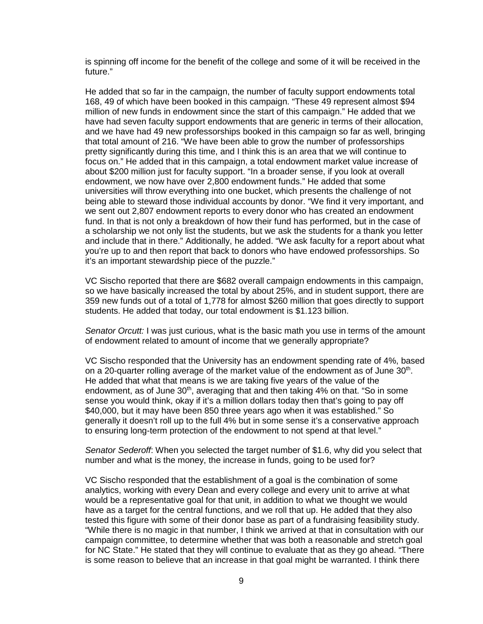is spinning off income for the benefit of the college and some of it will be received in the future."

He added that so far in the campaign, the number of faculty support endowments total 168, 49 of which have been booked in this campaign. "These 49 represent almost \$94 million of new funds in endowment since the start of this campaign." He added that we have had seven faculty support endowments that are generic in terms of their allocation, and we have had 49 new professorships booked in this campaign so far as well, bringing that total amount of 216. "We have been able to grow the number of professorships pretty significantly during this time, and I think this is an area that we will continue to focus on." He added that in this campaign, a total endowment market value increase of about \$200 million just for faculty support. "In a broader sense, if you look at overall endowment, we now have over 2,800 endowment funds." He added that some universities will throw everything into one bucket, which presents the challenge of not being able to steward those individual accounts by donor. "We find it very important, and we sent out 2,807 endowment reports to every donor who has created an endowment fund. In that is not only a breakdown of how their fund has performed, but in the case of a scholarship we not only list the students, but we ask the students for a thank you letter and include that in there." Additionally, he added. "We ask faculty for a report about what you're up to and then report that back to donors who have endowed professorships. So it's an important stewardship piece of the puzzle."

VC Sischo reported that there are \$682 overall campaign endowments in this campaign, so we have basically increased the total by about 25%, and in student support, there are 359 new funds out of a total of 1,778 for almost \$260 million that goes directly to support students. He added that today, our total endowment is \$1.123 billion.

*Senator Orcutt:* I was just curious, what is the basic math you use in terms of the amount of endowment related to amount of income that we generally appropriate?

VC Sischo responded that the University has an endowment spending rate of 4%, based on a 20-quarter rolling average of the market value of the endowment as of June  $30<sup>th</sup>$ . He added that what that means is we are taking five years of the value of the endowment, as of June 30<sup>th</sup>, averaging that and then taking 4% on that. "So in some sense you would think, okay if it's a million dollars today then that's going to pay off \$40,000, but it may have been 850 three years ago when it was established." So generally it doesn't roll up to the full 4% but in some sense it's a conservative approach to ensuring long-term protection of the endowment to not spend at that level."

*Senator Sederoff*: When you selected the target number of \$1.6, why did you select that number and what is the money, the increase in funds, going to be used for?

VC Sischo responded that the establishment of a goal is the combination of some analytics, working with every Dean and every college and every unit to arrive at what would be a representative goal for that unit, in addition to what we thought we would have as a target for the central functions, and we roll that up. He added that they also tested this figure with some of their donor base as part of a fundraising feasibility study. "While there is no magic in that number, I think we arrived at that in consultation with our campaign committee, to determine whether that was both a reasonable and stretch goal for NC State." He stated that they will continue to evaluate that as they go ahead. "There is some reason to believe that an increase in that goal might be warranted. I think there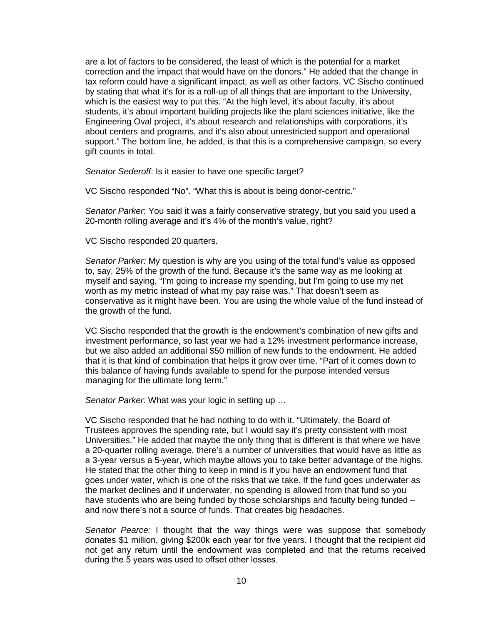are a lot of factors to be considered, the least of which is the potential for a market correction and the impact that would have on the donors." He added that the change in tax reform could have a significant impact, as well as other factors. VC Sischo continued by stating that what it's for is a roll-up of all things that are important to the University, which is the easiest way to put this. "At the high level, it's about faculty, it's about students, it's about important building projects like the plant sciences initiative, like the Engineering Oval project, it's about research and relationships with corporations, it's about centers and programs, and it's also about unrestricted support and operational support." The bottom line, he added, is that this is a comprehensive campaign, so every gift counts in total.

*Senator Sederoff*: Is it easier to have one specific target?

VC Sischo responded "No". "What this is about is being donor-centric."

*Senator Parker*: You said it was a fairly conservative strategy, but you said you used a 20-month rolling average and it's 4% of the month's value, right?

VC Sischo responded 20 quarters.

*Senator Parker:* My question is why are you using of the total fund's value as opposed to, say, 25% of the growth of the fund. Because it's the same way as me looking at myself and saying, "I'm going to increase my spending, but I'm going to use my net worth as my metric instead of what my pay raise was." That doesn't seem as conservative as it might have been. You are using the whole value of the fund instead of the growth of the fund.

VC Sischo responded that the growth is the endowment's combination of new gifts and investment performance, so last year we had a 12% investment performance increase, but we also added an additional \$50 million of new funds to the endowment. He added that it is that kind of combination that helps it grow over time. "Part of it comes down to this balance of having funds available to spend for the purpose intended versus managing for the ultimate long term."

*Senator Parker:* What was your logic in setting up …

VC Sischo responded that he had nothing to do with it. "Ultimately, the Board of Trustees approves the spending rate, but I would say it's pretty consistent with most Universities." He added that maybe the only thing that is different is that where we have a 20-quarter rolling average, there's a number of universities that would have as little as a 3-year versus a 5-year, which maybe allows you to take better advantage of the highs. He stated that the other thing to keep in mind is if you have an endowment fund that goes under water, which is one of the risks that we take. If the fund goes underwater as the market declines and if underwater, no spending is allowed from that fund so you have students who are being funded by those scholarships and faculty being funded – and now there's not a source of funds. That creates big headaches.

*Senator Pearce:* I thought that the way things were was suppose that somebody donates \$1 million, giving \$200k each year for five years. I thought that the recipient did not get any return until the endowment was completed and that the returns received during the 5 years was used to offset other losses.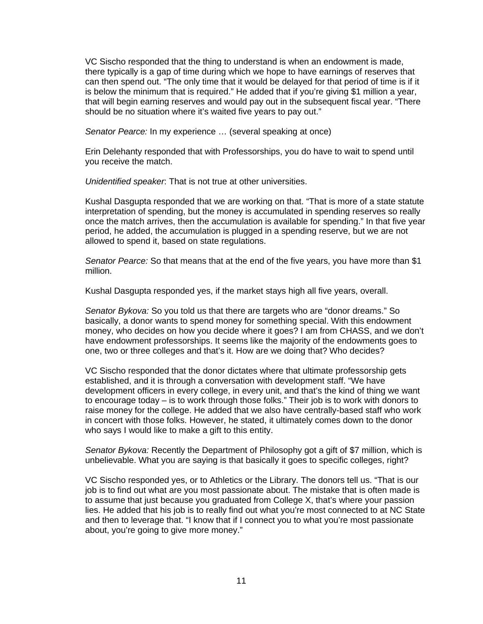VC Sischo responded that the thing to understand is when an endowment is made, there typically is a gap of time during which we hope to have earnings of reserves that can then spend out. "The only time that it would be delayed for that period of time is if it is below the minimum that is required." He added that if you're giving \$1 million a year, that will begin earning reserves and would pay out in the subsequent fiscal year. "There should be no situation where it's waited five years to pay out."

*Senator Pearce:* In my experience … (several speaking at once)

Erin Delehanty responded that with Professorships, you do have to wait to spend until you receive the match.

*Unidentified speaker*: That is not true at other universities.

Kushal Dasgupta responded that we are working on that. "That is more of a state statute interpretation of spending, but the money is accumulated in spending reserves so really once the match arrives, then the accumulation is available for spending." In that five year period, he added, the accumulation is plugged in a spending reserve, but we are not allowed to spend it, based on state regulations.

*Senator Pearce:* So that means that at the end of the five years, you have more than \$1 million.

Kushal Dasgupta responded yes, if the market stays high all five years, overall.

*Senator Bykova:* So you told us that there are targets who are "donor dreams." So basically, a donor wants to spend money for something special. With this endowment money, who decides on how you decide where it goes? I am from CHASS, and we don't have endowment professorships. It seems like the majority of the endowments goes to one, two or three colleges and that's it. How are we doing that? Who decides?

VC Sischo responded that the donor dictates where that ultimate professorship gets established, and it is through a conversation with development staff. "We have development officers in every college, in every unit, and that's the kind of thing we want to encourage today – is to work through those folks." Their job is to work with donors to raise money for the college. He added that we also have centrally-based staff who work in concert with those folks. However, he stated, it ultimately comes down to the donor who says I would like to make a gift to this entity.

*Senator Bykova:* Recently the Department of Philosophy got a gift of \$7 million, which is unbelievable. What you are saying is that basically it goes to specific colleges, right?

VC Sischo responded yes, or to Athletics or the Library. The donors tell us. "That is our job is to find out what are you most passionate about. The mistake that is often made is to assume that just because you graduated from College X, that's where your passion lies. He added that his job is to really find out what you're most connected to at NC State and then to leverage that. "I know that if I connect you to what you're most passionate about, you're going to give more money."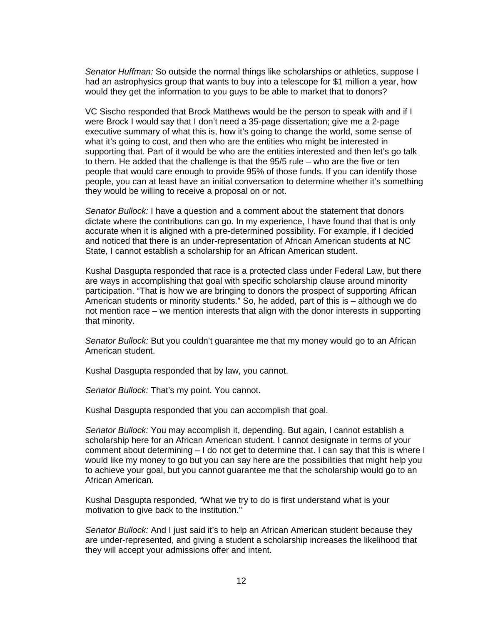*Senator Huffman:* So outside the normal things like scholarships or athletics, suppose I had an astrophysics group that wants to buy into a telescope for \$1 million a year, how would they get the information to you guys to be able to market that to donors?

VC Sischo responded that Brock Matthews would be the person to speak with and if I were Brock I would say that I don't need a 35-page dissertation; give me a 2-page executive summary of what this is, how it's going to change the world, some sense of what it's going to cost, and then who are the entities who might be interested in supporting that. Part of it would be who are the entities interested and then let's go talk to them. He added that the challenge is that the 95/5 rule – who are the five or ten people that would care enough to provide 95% of those funds. If you can identify those people, you can at least have an initial conversation to determine whether it's something they would be willing to receive a proposal on or not.

*Senator Bullock:* I have a question and a comment about the statement that donors dictate where the contributions can go. In my experience, I have found that that is only accurate when it is aligned with a pre-determined possibility. For example, if I decided and noticed that there is an under-representation of African American students at NC State, I cannot establish a scholarship for an African American student.

Kushal Dasgupta responded that race is a protected class under Federal Law, but there are ways in accomplishing that goal with specific scholarship clause around minority participation. "That is how we are bringing to donors the prospect of supporting African American students or minority students." So, he added, part of this is – although we do not mention race – we mention interests that align with the donor interests in supporting that minority.

*Senator Bullock:* But you couldn't guarantee me that my money would go to an African American student.

Kushal Dasgupta responded that by law, you cannot.

*Senator Bullock:* That's my point. You cannot.

Kushal Dasgupta responded that you can accomplish that goal.

*Senator Bullock:* You may accomplish it, depending. But again, I cannot establish a scholarship here for an African American student. I cannot designate in terms of your comment about determining – I do not get to determine that. I can say that this is where I would like my money to go but you can say here are the possibilities that might help you to achieve your goal, but you cannot guarantee me that the scholarship would go to an African American.

Kushal Dasgupta responded, "What we try to do is first understand what is your motivation to give back to the institution."

*Senator Bullock:* And I just said it's to help an African American student because they are under-represented, and giving a student a scholarship increases the likelihood that they will accept your admissions offer and intent.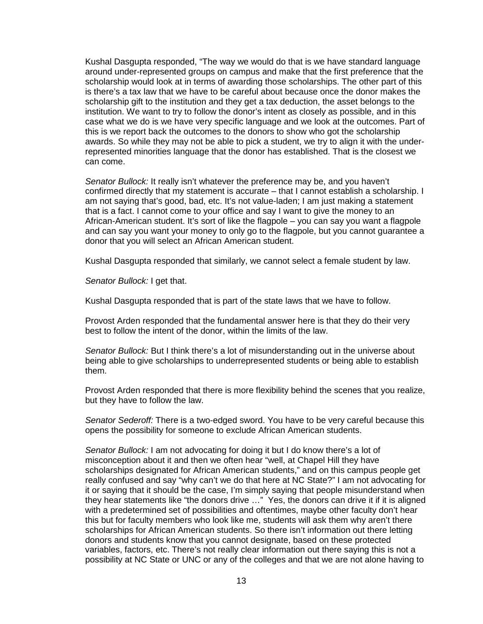Kushal Dasgupta responded, "The way we would do that is we have standard language around under-represented groups on campus and make that the first preference that the scholarship would look at in terms of awarding those scholarships. The other part of this is there's a tax law that we have to be careful about because once the donor makes the scholarship gift to the institution and they get a tax deduction, the asset belongs to the institution. We want to try to follow the donor's intent as closely as possible, and in this case what we do is we have very specific language and we look at the outcomes. Part of this is we report back the outcomes to the donors to show who got the scholarship awards. So while they may not be able to pick a student, we try to align it with the underrepresented minorities language that the donor has established. That is the closest we can come.

*Senator Bullock:* It really isn't whatever the preference may be, and you haven't confirmed directly that my statement is accurate – that I cannot establish a scholarship. I am not saying that's good, bad, etc. It's not value-laden; I am just making a statement that is a fact. I cannot come to your office and say I want to give the money to an African-American student. It's sort of like the flagpole – you can say you want a flagpole and can say you want your money to only go to the flagpole, but you cannot guarantee a donor that you will select an African American student.

Kushal Dasgupta responded that similarly, we cannot select a female student by law.

*Senator Bullock:* I get that.

Kushal Dasgupta responded that is part of the state laws that we have to follow.

Provost Arden responded that the fundamental answer here is that they do their very best to follow the intent of the donor, within the limits of the law.

*Senator Bullock:* But I think there's a lot of misunderstanding out in the universe about being able to give scholarships to underrepresented students or being able to establish them.

Provost Arden responded that there is more flexibility behind the scenes that you realize, but they have to follow the law.

*Senator Sederoff:* There is a two-edged sword. You have to be very careful because this opens the possibility for someone to exclude African American students.

*Senator Bullock:* I am not advocating for doing it but I do know there's a lot of misconception about it and then we often hear "well, at Chapel Hill they have scholarships designated for African American students," and on this campus people get really confused and say "why can't we do that here at NC State?" I am not advocating for it or saying that it should be the case, I'm simply saying that people misunderstand when they hear statements like "the donors drive …" Yes, the donors can drive it if it is aligned with a predetermined set of possibilities and oftentimes, maybe other faculty don't hear this but for faculty members who look like me, students will ask them why aren't there scholarships for African American students. So there isn't information out there letting donors and students know that you cannot designate, based on these protected variables, factors, etc. There's not really clear information out there saying this is not a possibility at NC State or UNC or any of the colleges and that we are not alone having to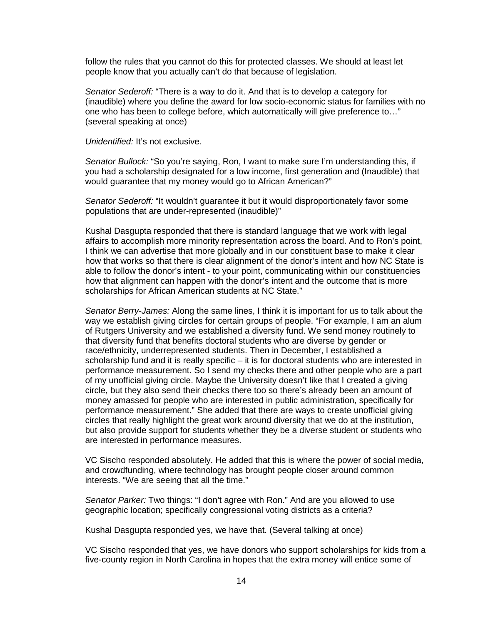follow the rules that you cannot do this for protected classes. We should at least let people know that you actually can't do that because of legislation.

*Senator Sederoff:* "There is a way to do it. And that is to develop a category for (inaudible) where you define the award for low socio-economic status for families with no one who has been to college before, which automatically will give preference to…" (several speaking at once)

*Unidentified:* It's not exclusive.

*Senator Bullock:* "So you're saying, Ron, I want to make sure I'm understanding this, if you had a scholarship designated for a low income, first generation and (Inaudible) that would guarantee that my money would go to African American?"

*Senator Sederoff:* "It wouldn't guarantee it but it would disproportionately favor some populations that are under-represented (inaudible)"

Kushal Dasgupta responded that there is standard language that we work with legal affairs to accomplish more minority representation across the board. And to Ron's point, I think we can advertise that more globally and in our constituent base to make it clear how that works so that there is clear alignment of the donor's intent and how NC State is able to follow the donor's intent - to your point, communicating within our constituencies how that alignment can happen with the donor's intent and the outcome that is more scholarships for African American students at NC State."

*Senator Berry-James:* Along the same lines, I think it is important for us to talk about the way we establish giving circles for certain groups of people. "For example, I am an alum of Rutgers University and we established a diversity fund. We send money routinely to that diversity fund that benefits doctoral students who are diverse by gender or race/ethnicity, underrepresented students. Then in December, I established a scholarship fund and it is really specific – it is for doctoral students who are interested in performance measurement. So I send my checks there and other people who are a part of my unofficial giving circle. Maybe the University doesn't like that I created a giving circle, but they also send their checks there too so there's already been an amount of money amassed for people who are interested in public administration, specifically for performance measurement." She added that there are ways to create unofficial giving circles that really highlight the great work around diversity that we do at the institution, but also provide support for students whether they be a diverse student or students who are interested in performance measures.

VC Sischo responded absolutely. He added that this is where the power of social media, and crowdfunding, where technology has brought people closer around common interests. "We are seeing that all the time."

*Senator Parker:* Two things: "I don't agree with Ron." And are you allowed to use geographic location; specifically congressional voting districts as a criteria?

Kushal Dasgupta responded yes, we have that. (Several talking at once)

VC Sischo responded that yes, we have donors who support scholarships for kids from a five-county region in North Carolina in hopes that the extra money will entice some of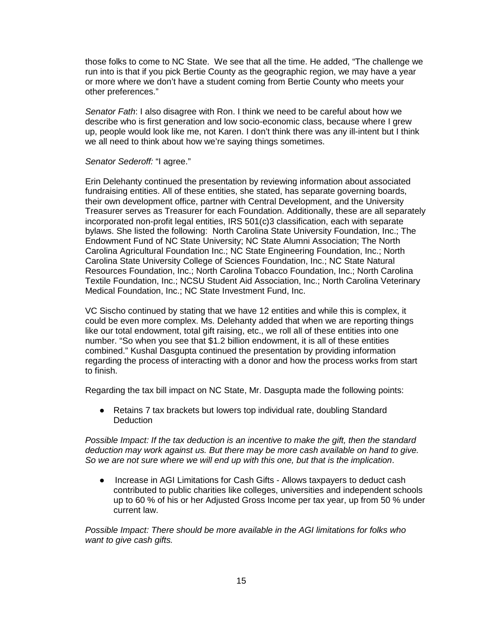those folks to come to NC State. We see that all the time. He added, "The challenge we run into is that if you pick Bertie County as the geographic region, we may have a year or more where we don't have a student coming from Bertie County who meets your other preferences."

*Senator Fath*: I also disagree with Ron. I think we need to be careful about how we describe who is first generation and low socio-economic class, because where I grew up, people would look like me, not Karen. I don't think there was any ill-intent but I think we all need to think about how we're saying things sometimes.

#### *Senator Sederoff:* "I agree."

Erin Delehanty continued the presentation by reviewing information about associated fundraising entities. All of these entities, she stated, has separate governing boards, their own development office, partner with Central Development, and the University Treasurer serves as Treasurer for each Foundation. Additionally, these are all separately incorporated non-profit legal entities, IRS 501(c)3 classification, each with separate bylaws. She listed the following: North Carolina State University Foundation, Inc.; The Endowment Fund of NC State University; NC State Alumni Association; The North Carolina Agricultural Foundation Inc.; NC State Engineering Foundation, Inc.; North Carolina State University College of Sciences Foundation, Inc.; NC State Natural Resources Foundation, Inc.; North Carolina Tobacco Foundation, Inc.; North Carolina Textile Foundation, Inc.; NCSU Student Aid Association, Inc.; North Carolina Veterinary Medical Foundation, Inc.; NC State Investment Fund, Inc.

VC Sischo continued by stating that we have 12 entities and while this is complex, it could be even more complex. Ms. Delehanty added that when we are reporting things like our total endowment, total gift raising, etc., we roll all of these entities into one number. "So when you see that \$1.2 billion endowment, it is all of these entities combined." Kushal Dasgupta continued the presentation by providing information regarding the process of interacting with a donor and how the process works from start to finish.

Regarding the tax bill impact on NC State, Mr. Dasgupta made the following points:

● Retains 7 tax brackets but lowers top individual rate, doubling Standard **Deduction** 

*Possible Impact: If the tax deduction is an incentive to make the gift, then the standard deduction may work against us. But there may be more cash available on hand to give. So we are not sure where we will end up with this one, but that is the implication*.

● Increase in AGI Limitations for Cash Gifts - Allows taxpayers to deduct cash contributed to public charities like colleges, universities and independent schools up to 60 % of his or her Adjusted Gross Income per tax year, up from 50 % under current law.

*Possible Impact: There should be more available in the AGI limitations for folks who want to give cash gifts.*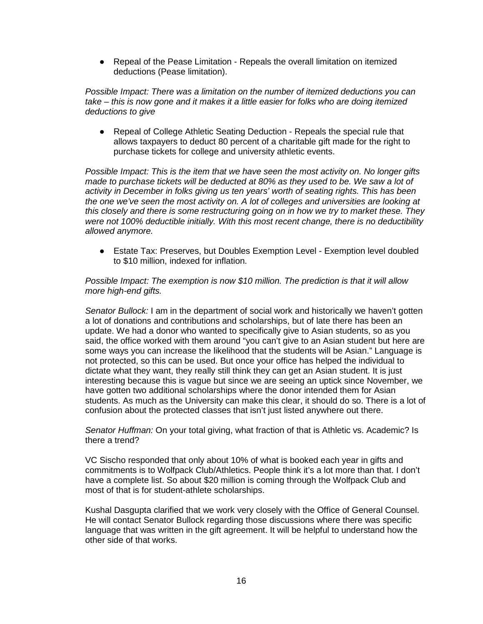● Repeal of the Pease Limitation - Repeals the overall limitation on itemized deductions (Pease limitation).

*Possible Impact: There was a limitation on the number of itemized deductions you can take – this is now gone and it makes it a little easier for folks who are doing itemized deductions to give*

● Repeal of College Athletic Seating Deduction - Repeals the special rule that allows taxpayers to deduct 80 percent of a charitable gift made for the right to purchase tickets for college and university athletic events.

*Possible Impact: This is the item that we have seen the most activity on. No longer gifts made to purchase tickets will be deducted at 80% as they used to be. We saw a lot of activity in December in folks giving us ten years' worth of seating rights. This has been the one we've seen the most activity on. A lot of colleges and universities are looking at this closely and there is some restructuring going on in how we try to market these. They were not 100% deductible initially. With this most recent change, there is no deductibility allowed anymore.*

● Estate Tax: Preserves, but Doubles Exemption Level - Exemption level doubled to \$10 million, indexed for inflation.

#### *Possible Impact: The exemption is now \$10 million. The prediction is that it will allow more high-end gifts.*

*Senator Bullock:* I am in the department of social work and historically we haven't gotten a lot of donations and contributions and scholarships, but of late there has been an update. We had a donor who wanted to specifically give to Asian students, so as you said, the office worked with them around "you can't give to an Asian student but here are some ways you can increase the likelihood that the students will be Asian." Language is not protected, so this can be used. But once your office has helped the individual to dictate what they want, they really still think they can get an Asian student. It is just interesting because this is vague but since we are seeing an uptick since November, we have gotten two additional scholarships where the donor intended them for Asian students. As much as the University can make this clear, it should do so. There is a lot of confusion about the protected classes that isn't just listed anywhere out there.

*Senator Huffman:* On your total giving, what fraction of that is Athletic vs. Academic? Is there a trend?

VC Sischo responded that only about 10% of what is booked each year in gifts and commitments is to Wolfpack Club/Athletics. People think it's a lot more than that. I don't have a complete list. So about \$20 million is coming through the Wolfpack Club and most of that is for student-athlete scholarships.

Kushal Dasgupta clarified that we work very closely with the Office of General Counsel. He will contact Senator Bullock regarding those discussions where there was specific language that was written in the gift agreement. It will be helpful to understand how the other side of that works.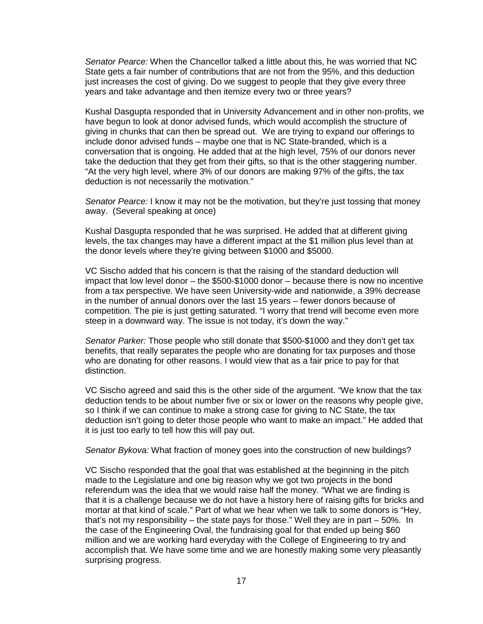*Senator Pearce:* When the Chancellor talked a little about this, he was worried that NC State gets a fair number of contributions that are not from the 95%, and this deduction just increases the cost of giving. Do we suggest to people that they give every three years and take advantage and then itemize every two or three years?

Kushal Dasgupta responded that in University Advancement and in other non-profits, we have begun to look at donor advised funds, which would accomplish the structure of giving in chunks that can then be spread out. We are trying to expand our offerings to include donor advised funds – maybe one that is NC State-branded, which is a conversation that is ongoing. He added that at the high level, 75% of our donors never take the deduction that they get from their gifts, so that is the other staggering number. "At the very high level, where 3% of our donors are making 97% of the gifts, the tax deduction is not necessarily the motivation."

*Senator Pearce:* I know it may not be the motivation, but they're just tossing that money away. (Several speaking at once)

Kushal Dasgupta responded that he was surprised. He added that at different giving levels, the tax changes may have a different impact at the \$1 million plus level than at the donor levels where they're giving between \$1000 and \$5000.

VC Sischo added that his concern is that the raising of the standard deduction will impact that low level donor – the \$500-\$1000 donor – because there is now no incentive from a tax perspective. We have seen University-wide and nationwide, a 39% decrease in the number of annual donors over the last 15 years – fewer donors because of competition. The pie is just getting saturated. "I worry that trend will become even more steep in a downward way. The issue is not today, it's down the way."

*Senator Parker:* Those people who still donate that \$500-\$1000 and they don't get tax benefits, that really separates the people who are donating for tax purposes and those who are donating for other reasons. I would view that as a fair price to pay for that distinction.

VC Sischo agreed and said this is the other side of the argument. "We know that the tax deduction tends to be about number five or six or lower on the reasons why people give, so I think if we can continue to make a strong case for giving to NC State, the tax deduction isn't going to deter those people who want to make an impact." He added that it is just too early to tell how this will pay out.

*Senator Bykova:* What fraction of money goes into the construction of new buildings?

VC Sischo responded that the goal that was established at the beginning in the pitch made to the Legislature and one big reason why we got two projects in the bond referendum was the idea that we would raise half the money. "What we are finding is that it is a challenge because we do not have a history here of raising gifts for bricks and mortar at that kind of scale." Part of what we hear when we talk to some donors is "Hey, that's not my responsibility – the state pays for those." Well they are in part – 50%. In the case of the Engineering Oval, the fundraising goal for that ended up being \$60 million and we are working hard everyday with the College of Engineering to try and accomplish that. We have some time and we are honestly making some very pleasantly surprising progress.